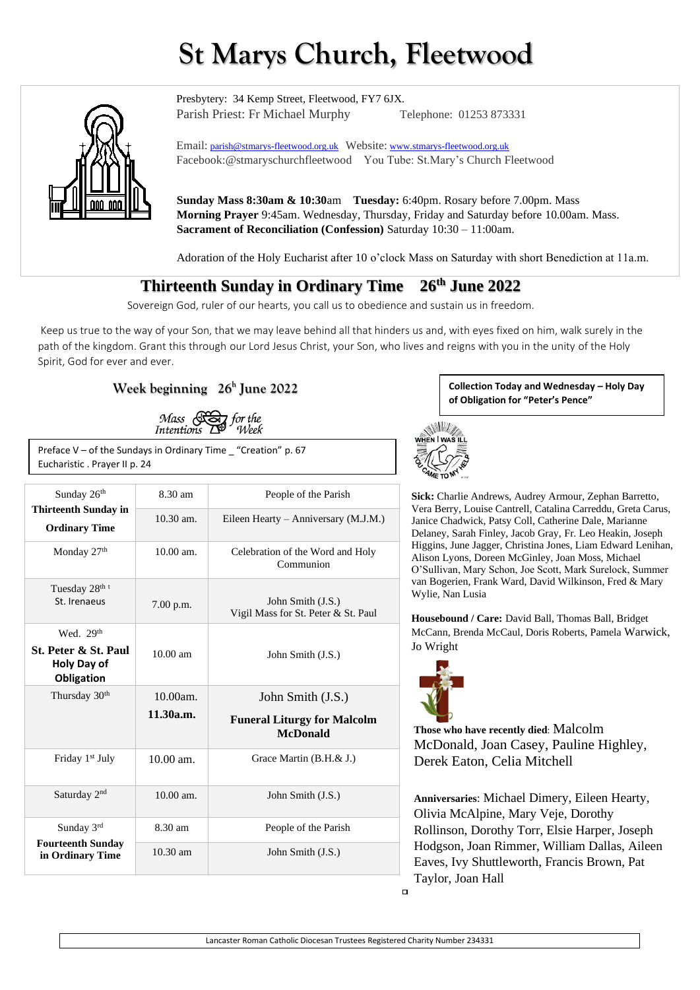# **St Marys Church, Fleetwood**



Presbytery: 34 Kemp Street, Fleetwood, FY7 6JX. Parish Priest: Fr Michael Murphy Telephone: 01253 873331

Email: [parish@stmarys-fleetwood.org.uk](mailto:parish@stmarys-fleetwood.org.uk) Website: [www.stmarys-fleetwood.org.uk](http://www.stmarys-fleetwood.org.uk/) Facebook:@stmaryschurchfleetwood You Tube: St.Mary's Church Fleetwood

**Sunday Mass 8:30am & 10:30**am **Tuesday:** 6:40pm. Rosary before 7.00pm. Mass **Morning Prayer** 9:45am. Wednesday, Thursday, Friday and Saturday before 10.00am. Mass. **Sacrament of Reconciliation (Confession)** Saturday 10:30 – 11:00am.

Adoration of the Holy Eucharist after 10 o'clock Mass on Saturday with short Benediction at 11a.m.

## **Thirteenth Sunday in Ordinary Time 26th June 2022**

Sovereign God, ruler of our hearts, you call us to obedience and sustain us in freedom.

Keep us true to the way of your Son, that we may leave behind all that hinders us and, with eyes fixed on him, walk surely in the path of the kingdom. Grant this through our Lord Jesus Christ, your Son, who lives and reigns with you in the unity of the Holy Spirit, God for ever and ever.

### **Week beginning 26<sup>h</sup> June 2022**

Mass (Cor for the Intentions To Week

Preface  $V$  – of the Sundays in Ordinary Time "Creation" p. 67 Eucharistic . Prayer II p. 24

| Sunday 26th<br><b>Thirteenth Sunday in</b><br><b>Ordinary Time</b>                 | 8.30 am            | People of the Parish                                     |
|------------------------------------------------------------------------------------|--------------------|----------------------------------------------------------|
|                                                                                    | $10.30$ am.        | Eileen Hearty - Anniversary (M.J.M.)                     |
| Monday 27 <sup>th</sup>                                                            | $10.00$ am.        | Celebration of the Word and Holy<br>Communion            |
| Tuesday 28 <sup>th t</sup><br>St. Irenaeus                                         | 7.00 p.m.          | John Smith (J.S.)<br>Vigil Mass for St. Peter & St. Paul |
| Wed. $29th$<br><b>St. Peter &amp; St. Paul</b><br>Holy Day of<br><b>Obligation</b> | $10.00 \text{ am}$ | John Smith (J.S.)                                        |
| Thursday 30 <sup>th</sup>                                                          | $10.00am$ .        | John Smith (J.S.)                                        |
|                                                                                    | 11.30a.m.          | <b>Funeral Liturgy for Malcolm</b><br><b>McDonald</b>    |
| Friday 1 <sup>st</sup> July                                                        | $10.00$ am.        | Grace Martin (B.H.& J.)                                  |
| Saturday 2 <sup>nd</sup>                                                           | $10.00$ am.        | John Smith (J.S.)                                        |
| Sunday 3rd<br><b>Fourteenth Sunday</b><br>in Ordinary Time                         | 8.30 am            | People of the Parish                                     |
|                                                                                    | $10.30$ am         | John Smith (J.S.)                                        |

**Collection Today and Wednesday – Holy Day of Obligation for "Peter's Pence"**



**Sick:** Charlie Andrews, Audrey Armour, Zephan Barretto, Vera Berry, Louise Cantrell, Catalina Carreddu, Greta Carus, Janice Chadwick, Patsy Coll, Catherine Dale, Marianne Delaney, Sarah Finley, Jacob Gray, Fr. Leo Heakin, Joseph Higgins, June Jagger, Christina Jones, Liam Edward Lenihan, Alison Lyons, Doreen McGinley, Joan Moss, Michael O'Sullivan, Mary Schon, Joe Scott, Mark Surelock, Summer van Bogerien, Frank Ward, David Wilkinson, Fred & Mary Wylie, Nan Lusia

**Housebound / Care:** David Ball, Thomas Ball, Bridget McCann, Brenda McCaul, Doris Roberts, Pamela Warwick, Jo Wright



**Those who have recently died**: Malcolm McDonald, Joan Casey, Pauline Highley, Derek Eaton, Celia Mitchell

**Anniversaries**: Michael Dimery, Eileen Hearty, Olivia McAlpine, Mary Veje, Dorothy Rollinson, Dorothy Torr, Elsie Harper, Joseph Hodgson, Joan Rimmer, William Dallas, Aileen Eaves, Ivy Shuttleworth, Francis Brown, Pat Taylor, Joan Hall